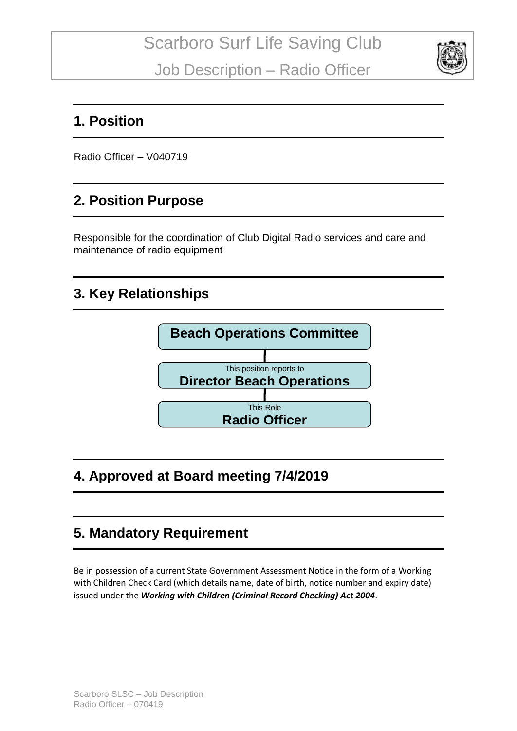

#### **1. Position**

Radio Officer – V040719

#### **2. Position Purpose**

Responsible for the coordination of Club Digital Radio services and care and maintenance of radio equipment

# **3. Key Relationships**



# **4. Approved at Board meeting 7/4/2019**

# **5. Mandatory Requirement**

Be in possession of a current State Government Assessment Notice in the form of a Working with Children Check Card (which details name, date of birth, notice number and expiry date) issued under the *Working with Children (Criminal Record Checking) Act 2004*.